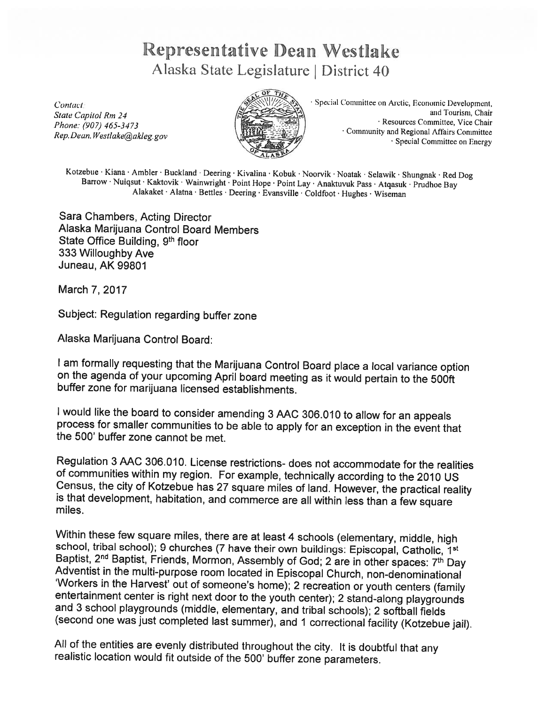## Representative bean Westlake Alaska State Legislature | District 40



Contact Contact ( $\frac{S}{S}$  Special Committee on Arctic. Economic Development, and Tourism, Chair and Tourism. Chair State Capitol Rm 24 and Tourism. Chair<br>Phone: (907) 465-3473 Community and Regional Affairs Committee Rep. Dean. Westlake @akleg.gov Special Community and Regional Affairs Committee on

Kotzebue · Kiana · Ambler · Buckland · Deering · Kivalina · Kobuk · Noorvik · Noatak · Selawik · Shungnak · Red Dog<br>Barrow · Nuiqsut · Kaktovik · Wainwright · Point Hope · Point Lay · Anaktuvuk Pass · Atqasuk · Prudhoe Bay

Sara Chambers, Acting Director Alaska Marijuana Control Board Members State Office Building, 9th floor 333 Willoughby Ave Juneau, AK 99801

March 7, 2017

Subject: Regulation regarding buffer zone

Alaska Marijuana Control Board:

<sup>I</sup> am formally requesting that the Marijuana Control Board <sup>p</sup>lace <sup>a</sup> local variance option on the agenda of your upcoming April board meeting as it would pertain to the 500ft buffer zone for marijuana licensed establishments.

<sup>I</sup> would like the board to consider amending <sup>3</sup> AAC 306.010 to allow for an appeals process for smaller communities to be able to apply for an exception in the event that the 500' buffer zone cannot be met.

Regulation <sup>3</sup> AAC 306.010. License restrictions- does not accommodate for the realities Census, the city of Kotzebue has 27 square miles of land. However, the practical reality is that development, habitation, and commerce are all within less than a few square miles.

Within these few square miles, there are at least 4 schools (elementary, middle, high<br>school, tribal school); 9 churches (7 have their own buildings: Episcopal, Catholic, 1<sup>st</sup><br>Baptist, 2<sup>nd</sup> Baptist, Friends, Mormon, Asse

All of the entities are evenly distributed throughout the city. It is doubtful that any realistic location would fit outside of the 500' buffer zone parameters.